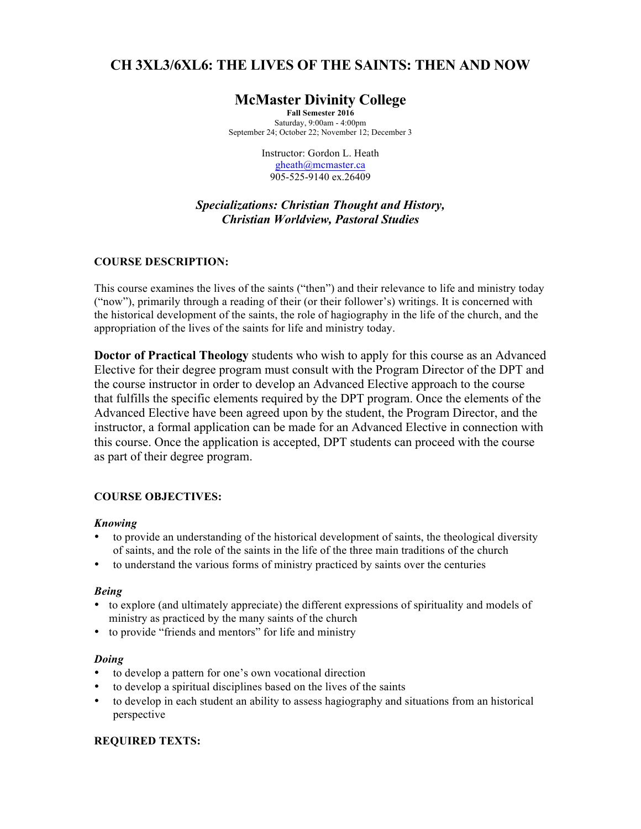# **CH 3XL3/6XL6: THE LIVES OF THE SAINTS: THEN AND NOW**

# **McMaster Divinity College**

**Fall Semester 2016** Saturday, 9:00am - 4:00pm September 24; October 22; November 12; December 3

> Instructor: Gordon L. Heath gheath@mcmaster.ca 905-525-9140 ex.26409

# *Specializations: Christian Thought and History, Christian Worldview, Pastoral Studies*

# **COURSE DESCRIPTION:**

This course examines the lives of the saints ("then") and their relevance to life and ministry today ("now"), primarily through a reading of their (or their follower's) writings. It is concerned with the historical development of the saints, the role of hagiography in the life of the church, and the appropriation of the lives of the saints for life and ministry today.

**Doctor of Practical Theology** students who wish to apply for this course as an Advanced Elective for their degree program must consult with the Program Director of the DPT and the course instructor in order to develop an Advanced Elective approach to the course that fulfills the specific elements required by the DPT program. Once the elements of the Advanced Elective have been agreed upon by the student, the Program Director, and the instructor, a formal application can be made for an Advanced Elective in connection with this course. Once the application is accepted, DPT students can proceed with the course as part of their degree program.

# **COURSE OBJECTIVES:**

# *Knowing*

- to provide an understanding of the historical development of saints, the theological diversity of saints, and the role of the saints in the life of the three main traditions of the church
- to understand the various forms of ministry practiced by saints over the centuries

# *Being*

- to explore (and ultimately appreciate) the different expressions of spirituality and models of ministry as practiced by the many saints of the church
- to provide "friends and mentors" for life and ministry

# *Doing*

- to develop a pattern for one's own vocational direction
- to develop a spiritual disciplines based on the lives of the saints
- to develop in each student an ability to assess hagiography and situations from an historical perspective

# **REQUIRED TEXTS:**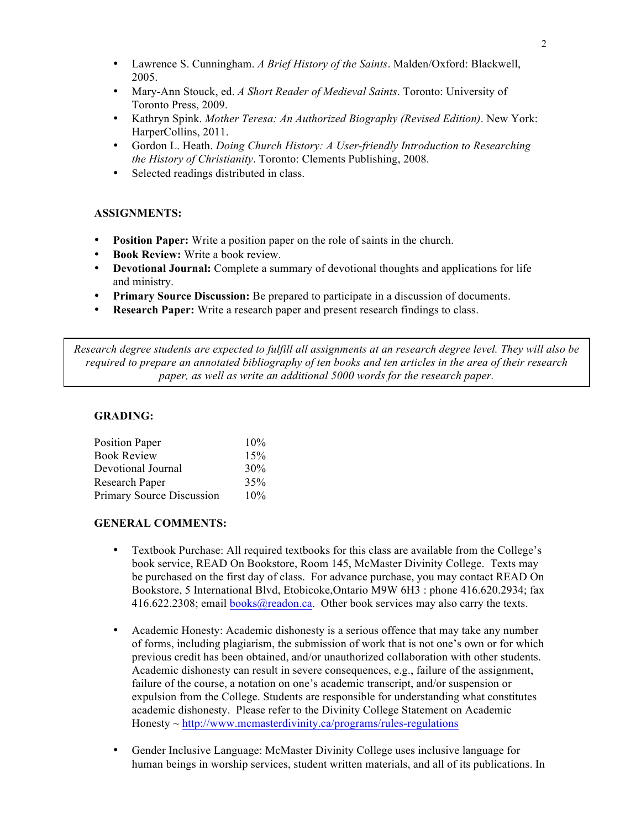- Lawrence S. Cunningham. *A Brief History of the Saints*. Malden/Oxford: Blackwell, 2005.
- Mary-Ann Stouck, ed. *A Short Reader of Medieval Saints*. Toronto: University of Toronto Press, 2009.
- Kathryn Spink. *Mother Teresa: An Authorized Biography (Revised Edition)*. New York: HarperCollins, 2011.
- Gordon L. Heath. *Doing Church History: A User-friendly Introduction to Researching the History of Christianity*. Toronto: Clements Publishing, 2008.
- Selected readings distributed in class.

# **ASSIGNMENTS:**

- **Position Paper:** Write a position paper on the role of saints in the church.
- **Book Review:** Write a book review.
- **Devotional Journal:** Complete a summary of devotional thoughts and applications for life and ministry.
- **Primary Source Discussion:** Be prepared to participate in a discussion of documents.
- **Research Paper:** Write a research paper and present research findings to class.

*Research degree students are expected to fulfill all assignments at an research degree level. They will also be required to prepare an annotated bibliography of ten books and ten articles in the area of their research paper, as well as write an additional 5000 words for the research paper.*

### **GRADING:**

| <b>Position Paper</b>            | 10% |
|----------------------------------|-----|
| <b>Book Review</b>               | 15% |
| Devotional Journal               | 30% |
| Research Paper                   | 35% |
| <b>Primary Source Discussion</b> | 10% |

### **GENERAL COMMENTS:**

- Textbook Purchase: All required textbooks for this class are available from the College's book service, READ On Bookstore, Room 145, McMaster Divinity College. Texts may be purchased on the first day of class. For advance purchase, you may contact READ On Bookstore, 5 International Blvd, Etobicoke,Ontario M9W 6H3 : phone 416.620.2934; fax 416.622.2308; email books@readon.ca. Other book services may also carry the texts.
- Academic Honesty: Academic dishonesty is a serious offence that may take any number of forms, including plagiarism, the submission of work that is not one's own or for which previous credit has been obtained, and/or unauthorized collaboration with other students. Academic dishonesty can result in severe consequences, e.g., failure of the assignment, failure of the course, a notation on one's academic transcript, and/or suspension or expulsion from the College. Students are responsible for understanding what constitutes academic dishonesty. Please refer to the Divinity College Statement on Academic  $Honesty \sim \frac{http://www.mcmasterdivinity.ca/programs/rules-regulations}{}$
- Gender Inclusive Language: McMaster Divinity College uses inclusive language for human beings in worship services, student written materials, and all of its publications. In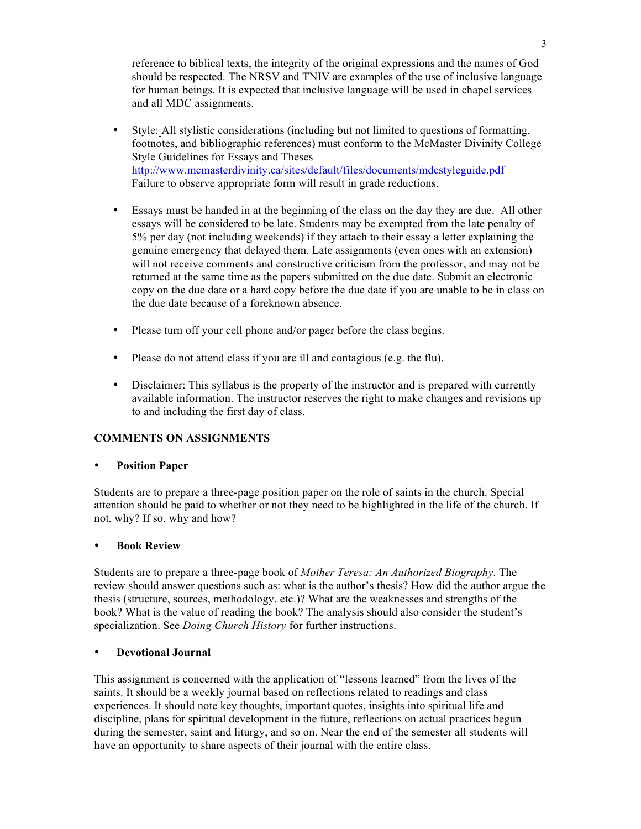reference to biblical texts, the integrity of the original expressions and the names of God should be respected. The NRSV and TNIV are examples of the use of inclusive language for human beings. It is expected that inclusive language will be used in chapel services and all MDC assignments.

- Style: All stylistic considerations (including but not limited to questions of formatting, footnotes, and bibliographic references) must conform to the McMaster Divinity College Style Guidelines for Essays and Theses http://www.mcmasterdivinity.ca/sites/default/files/documents/mdcstyleguide.pdf Failure to observe appropriate form will result in grade reductions.
- Essays must be handed in at the beginning of the class on the day they are due. All other essays will be considered to be late. Students may be exempted from the late penalty of 5% per day (not including weekends) if they attach to their essay a letter explaining the genuine emergency that delayed them. Late assignments (even ones with an extension) will not receive comments and constructive criticism from the professor, and may not be returned at the same time as the papers submitted on the due date. Submit an electronic copy on the due date or a hard copy before the due date if you are unable to be in class on the due date because of a foreknown absence.
- Please turn off your cell phone and/or pager before the class begins.
- Please do not attend class if you are ill and contagious (e.g. the flu).
- Disclaimer: This syllabus is the property of the instructor and is prepared with currently available information. The instructor reserves the right to make changes and revisions up to and including the first day of class.

# **COMMENTS ON ASSIGNMENTS**

# • **Position Paper**

Students are to prepare a three-page position paper on the role of saints in the church. Special attention should be paid to whether or not they need to be highlighted in the life of the church. If not, why? If so, why and how?

# • **Book Review**

Students are to prepare a three-page book of *Mother Teresa: An Authorized Biography*. The review should answer questions such as: what is the author's thesis? How did the author argue the thesis (structure, sources, methodology, etc.)? What are the weaknesses and strengths of the book? What is the value of reading the book? The analysis should also consider the student's specialization. See *Doing Church History* for further instructions.

# • **Devotional Journal**

This assignment is concerned with the application of "lessons learned" from the lives of the saints. It should be a weekly journal based on reflections related to readings and class experiences. It should note key thoughts, important quotes, insights into spiritual life and discipline, plans for spiritual development in the future, reflections on actual practices begun during the semester, saint and liturgy, and so on. Near the end of the semester all students will have an opportunity to share aspects of their journal with the entire class.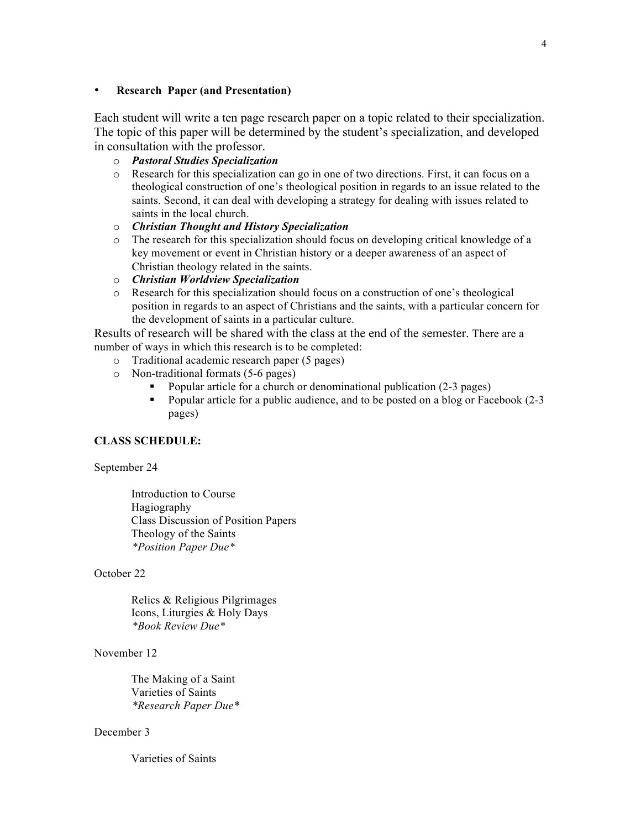### • **Research Paper (and Presentation)**

Each student will write a ten page research paper on a topic related to their specialization. The topic of this paper will be determined by the student's specialization, and developed in consultation with the professor.

- o *Pastoral Studies Specialization*
- o Research for this specialization can go in one of two directions. First, it can focus on a theological construction of one's theological position in regards to an issue related to the saints. Second, it can deal with developing a strategy for dealing with issues related to saints in the local church.
- o *Christian Thought and History Specialization*
- o The research for this specialization should focus on developing critical knowledge of a key movement or event in Christian history or a deeper awareness of an aspect of Christian theology related in the saints.
- o *Christian Worldview Specialization*
- o Research for this specialization should focus on a construction of one's theological position in regards to an aspect of Christians and the saints, with a particular concern for the development of saints in a particular culture.

Results of research will be shared with the class at the end of the semester. There are a number of ways in which this research is to be completed:

- o Traditional academic research paper (5 pages)
- o Non-traditional formats (5-6 pages)
	- § Popular article for a church or denominational publication (2-3 pages)
	- Popular article for a public audience, and to be posted on a blog or Facebook (2-3) pages)

### **CLASS SCHEDULE:**

#### September 24

Introduction to Course Hagiography Class Discussion of Position Papers Theology of the Saints *\*Position Paper Due\**

#### October 22

Relics & Religious Pilgrimages Icons, Liturgies & Holy Days *\*Book Review Due\**

### November 12

The Making of a Saint Varieties of Saints *\*Research Paper Due\**

### December 3

Varieties of Saints